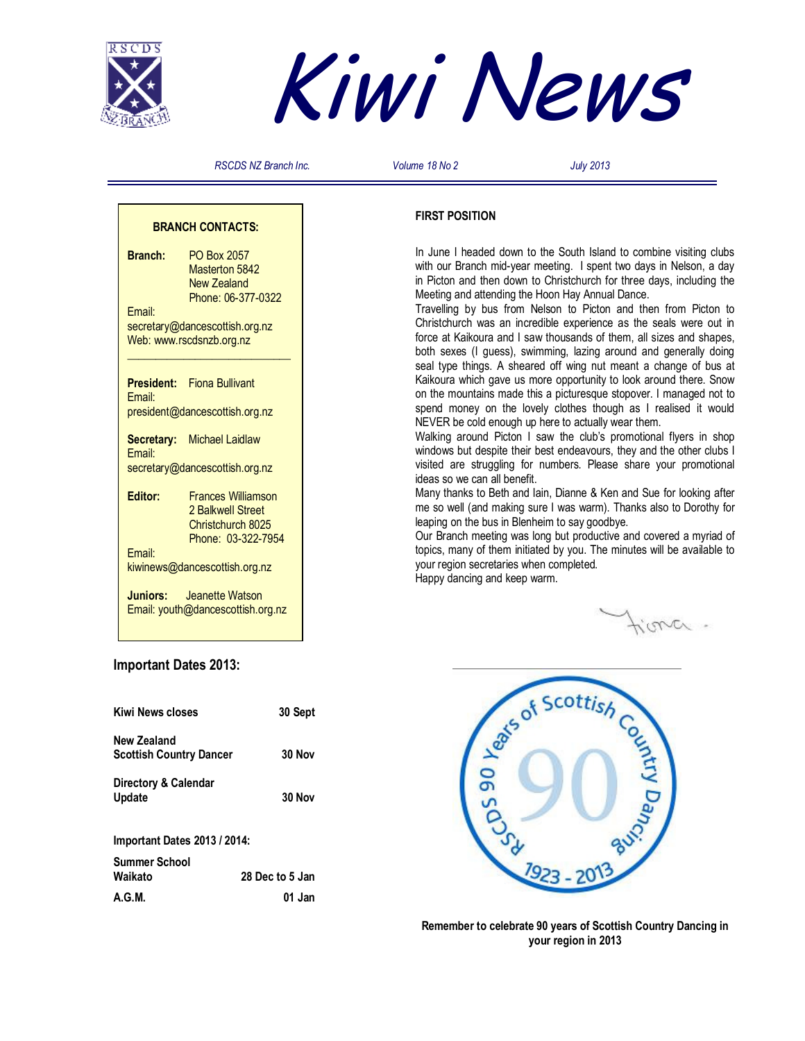



*RSCDS NZ Branch Inc. Volume 18 No 2 July 2013* 

#### **BRANCH CONTACTS:**

**Branch:** PO Box 2057 Masterton 5842 New Zealand Phone: 06-377-0322 Email: secretary@dancescottish.org.nz Web: www.rscdsnzb.org.nz **\_\_\_\_\_\_\_\_\_\_\_\_\_\_\_\_\_\_\_\_\_\_\_\_\_\_\_\_\_ President:** Fiona Bullivant Email: president@dancescottish.org.nz **Secretary:** Michael Laidlaw Email: secretary@dancescottish.org.nz **Editor:** Frances Williamson 2 Balkwell Street Christchurch 8025 Phone: 03-322-7954 Email: kiwinews@dancescottish.org.nz **Juniors:** Jeanette Watson

Email: youth@dancescottish.org.nz

**Important Dates 2013:** 

| <b>Kiwi News closes</b>                              | 30 Sept         |
|------------------------------------------------------|-----------------|
| <b>New Zealand</b><br><b>Scottish Country Dancer</b> | 30 Nov          |
| Directory & Calendar<br><b>Update</b>                | 30 Nov          |
| <b>Important Dates 2013 / 2014:</b>                  |                 |
| <b>Summer School</b><br>Waikato                      | 28 Dec to 5 Jan |
| A.G.M.                                               | 01 Jan          |

## **FIRST POSITION**

In June I headed down to the South Island to combine visiting clubs with our Branch mid-year meeting. I spent two days in Nelson, a day in Picton and then down to Christchurch for three days, including the Meeting and attending the Hoon Hay Annual Dance.

Travelling by bus from Nelson to Picton and then from Picton to Christchurch was an incredible experience as the seals were out in force at Kaikoura and I saw thousands of them, all sizes and shapes, both sexes (I guess), swimming, lazing around and generally doing seal type things. A sheared off wing nut meant a change of bus at Kaikoura which gave us more opportunity to look around there. Snow on the mountains made this a picturesque stopover. I managed not to spend money on the lovely clothes though as I realised it would NEVER be cold enough up here to actually wear them.

Walking around Picton I saw the club's promotional flyers in shop windows but despite their best endeavours, they and the other clubs I visited are struggling for numbers. Please share your promotional ideas so we can all benefit.

Many thanks to Beth and Iain, Dianne & Ken and Sue for looking after me so well (and making sure I was warm). Thanks also to Dorothy for leaping on the bus in Blenheim to say goodbye.

Our Branch meeting was long but productive and covered a myriad of topics, many of them initiated by you. The minutes will be available to your region secretaries when completed.

Happy dancing and keep warm.

 $222$ 



**Remember to celebrate 90 years of Scottish Country Dancing in your region in 2013**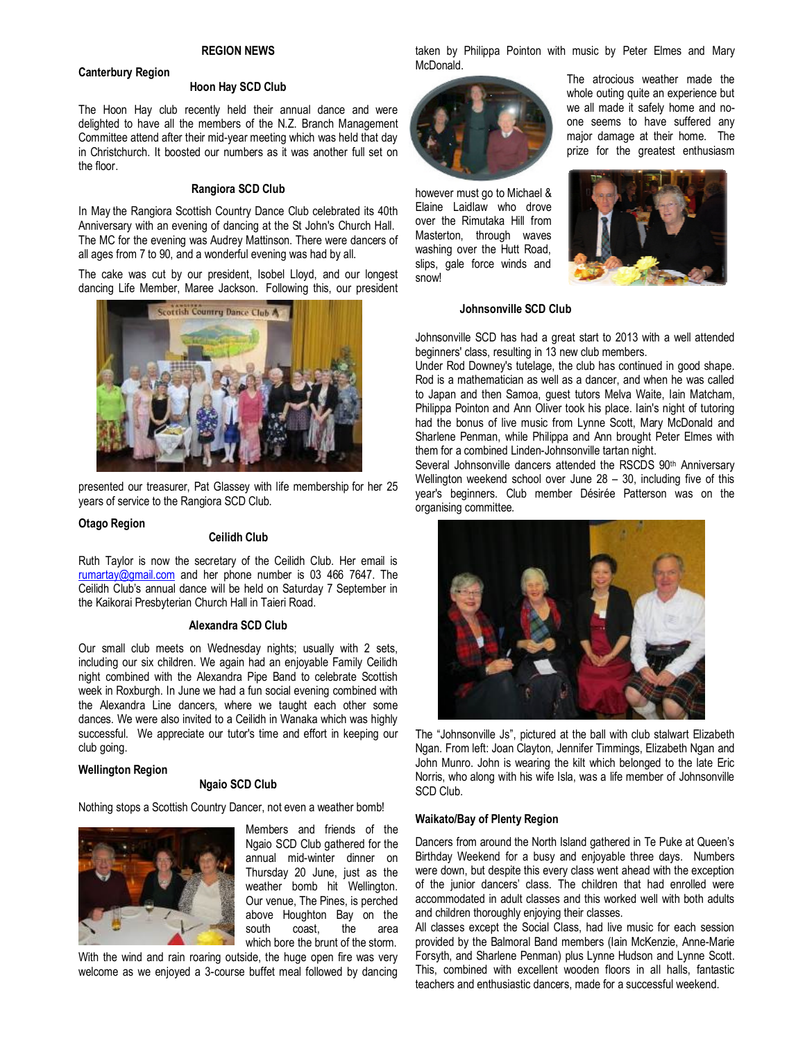#### **REGION NEWS**

#### **Canterbury Region**

#### **Hoon Hay SCD Club**

The Hoon Hay club recently held their annual dance and were delighted to have all the members of the N.Z. Branch Management Committee attend after their mid-year meeting which was held that day in Christchurch. It boosted our numbers as it was another full set on the floor.

### **Rangiora SCD Club**

In May the Rangiora Scottish Country Dance Club celebrated its 40th Anniversary with an evening of dancing at the St John's Church Hall. The MC for the evening was Audrey Mattinson. There were dancers of all ages from 7 to 90, and a wonderful evening was had by all.

The cake was cut by our president, Isobel Lloyd, and our longest dancing Life Member, Maree Jackson. Following this, our president



presented our treasurer, Pat Glassey with life membership for her 25 years of service to the Rangiora SCD Club.

#### **Otago Region**

#### **Ceilidh Club**

Ruth Taylor is now the secretary of the Ceilidh Club. Her email is rumartay@gmail.com and her phone number is 03 466 7647. The Ceilidh Club's annual dance will be held on Saturday 7 September in the Kaikorai Presbyterian Church Hall in Taieri Road.

#### **Alexandra SCD Club**

Our small club meets on Wednesday nights; usually with 2 sets, including our six children. We again had an enjoyable Family Ceilidh night combined with the Alexandra Pipe Band to celebrate Scottish week in Roxburgh. In June we had a fun social evening combined with the Alexandra Line dancers, where we taught each other some dances. We were also invited to a Ceilidh in Wanaka which was highly successful. We appreciate our tutor's time and effort in keeping our club going.

#### **Wellington Region**

#### **Ngaio SCD Club**

Nothing stops a Scottish Country Dancer, not even a weather bomb!



Members and friends of the Ngaio SCD Club gathered for the annual mid-winter dinner on Thursday 20 June, just as the weather bomb hit Wellington. Our venue, The Pines, is perched above Houghton Bay on the south coast, the area which bore the brunt of the storm.

With the wind and rain roaring outside, the huge open fire was very welcome as we enjoyed a 3-course buffet meal followed by dancing taken by Philippa Pointon with music by Peter Elmes and Mary McDonald.



however must go to Michael & Elaine Laidlaw who drove over the Rimutaka Hill from Masterton, through waves washing over the Hutt Road, slips, gale force winds and snow!





#### **Johnsonville SCD Club**

Johnsonville SCD has had a great start to 2013 with a well attended beginners' class, resulting in 13 new club members.

Under Rod Downey's tutelage, the club has continued in good shape. Rod is a mathematician as well as a dancer, and when he was called to Japan and then Samoa, guest tutors Melva Waite, Iain Matcham, Philippa Pointon and Ann Oliver took his place. Iain's night of tutoring had the bonus of live music from Lynne Scott, Mary McDonald and Sharlene Penman, while Philippa and Ann brought Peter Elmes with them for a combined Linden-Johnsonville tartan night.

Several Johnsonville dancers attended the RSCDS 90<sup>th</sup> Anniversary Wellington weekend school over June 28 – 30, including five of this year's beginners. Club member Désirée Patterson was on the organising committee.



The "Johnsonville Js", pictured at the ball with club stalwart Elizabeth Ngan. From left: Joan Clayton, Jennifer Timmings, Elizabeth Ngan and John Munro. John is wearing the kilt which belonged to the late Eric Norris, who along with his wife Isla, was a life member of Johnsonville SCD Club.

#### **Waikato/Bay of Plenty Region**

Dancers from around the North Island gathered in Te Puke at Queen's Birthday Weekend for a busy and enjoyable three days. Numbers were down, but despite this every class went ahead with the exception of the junior dancers' class. The children that had enrolled were accommodated in adult classes and this worked well with both adults and children thoroughly enjoying their classes.

All classes except the Social Class, had live music for each session provided by the Balmoral Band members (Iain McKenzie, Anne-Marie Forsyth, and Sharlene Penman) plus Lynne Hudson and Lynne Scott. This, combined with excellent wooden floors in all halls, fantastic teachers and enthusiastic dancers, made for a successful weekend.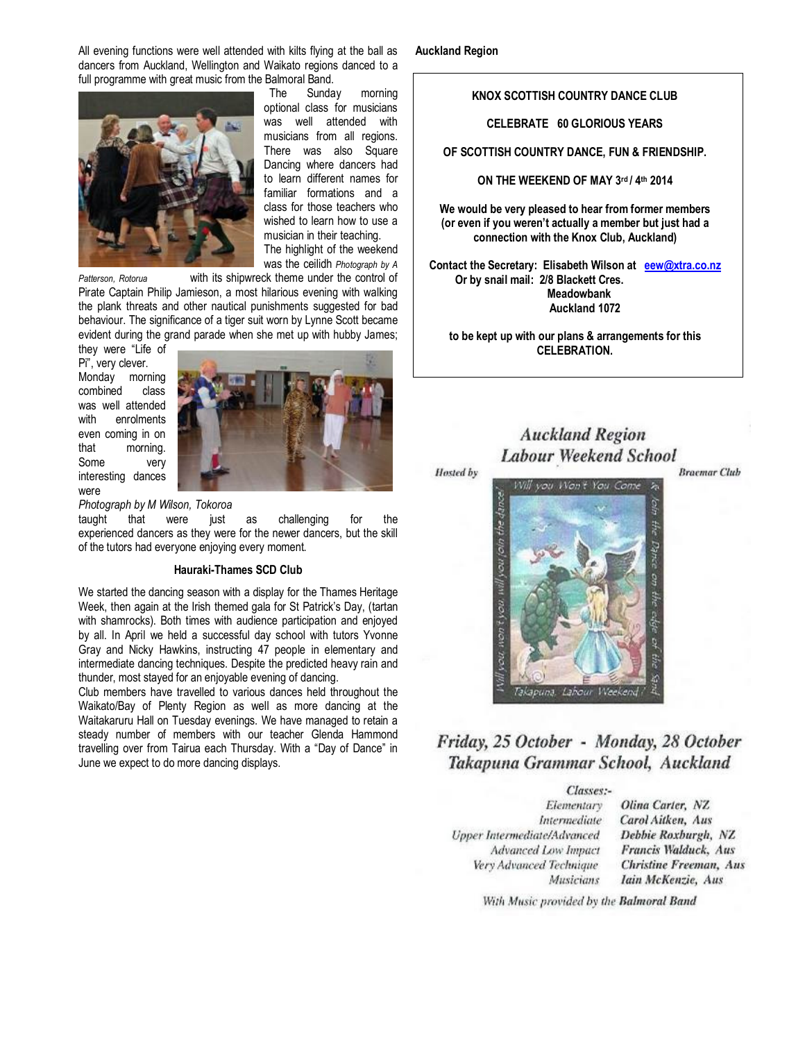All evening functions were well attended with kilts flying at the ball as dancers from Auckland, Wellington and Waikato regions danced to a full programme with great music from the Balmoral Band.



 The Sunday morning optional class for musicians was well attended with musicians from all regions. There was also Square Dancing where dancers had to learn different names for familiar formations and a class for those teachers who wished to learn how to use a musician in their teaching. The highlight of the weekend was the ceilidh *Photograph by A* 

*Patterson, Rotorua* with its shipwreck theme under the control of

Pirate Captain Philip Jamieson, a most hilarious evening with walking the plank threats and other nautical punishments suggested for bad behaviour. The significance of a tiger suit worn by Lynne Scott became evident during the grand parade when she met up with hubby James;

they were "Life of Pi", very clever. Monday morning combined class was well attended with enrolments even coming in on that morning. Some very interesting dances were



*Photograph by M Wilson, Tokoroa*

taught that were just as challenging for the experienced dancers as they were for the newer dancers, but the skill of the tutors had everyone enjoying every moment.

#### **Hauraki-Thames SCD Club**

We started the dancing season with a display for the Thames Heritage Week, then again at the Irish themed gala for St Patrick's Day, (tartan with shamrocks). Both times with audience participation and enjoyed by all. In April we held a successful day school with tutors Yvonne Gray and Nicky Hawkins, instructing 47 people in elementary and intermediate dancing techniques. Despite the predicted heavy rain and thunder, most stayed for an enjoyable evening of dancing.

Club members have travelled to various dances held throughout the Waikato/Bay of Plenty Region as well as more dancing at the Waitakaruru Hall on Tuesday evenings. We have managed to retain a steady number of members with our teacher Glenda Hammond travelling over from Tairua each Thursday. With a "Day of Dance" in June we expect to do more dancing displays.

**Auckland Region** 

**Hosted** by

#### **KNOX SCOTTISH COUNTRY DANCE CLUB**

**CELEBRATE 60 GLORIOUS YEARS** 

**OF SCOTTISH COUNTRY DANCE, FUN & FRIENDSHIP.** 

**ON THE WEEKEND OF MAY 3rd / 4th 2014** 

**We would be very pleased to hear from former members (or even if you weren't actually a member but just had a connection with the Knox Club, Auckland)** 

**Contact the Secretary: Elisabeth Wilson at eew@xtra.co.nz Or by snail mail: 2/8 Blackett Cres. Meadowbank Auckland 1072** 

**to be kept up with our plans & arrangements for this CELEBRATION.** 

# **Auckland Region** Labour Weekend School

**Braemar Club** 



# Friday, 25 October - Monday, 28 October Takapuna Grammar School, Auckland

| Classes:-                          |                                |
|------------------------------------|--------------------------------|
| Elementary                         | Olina Carter, NZ               |
| Intermediate                       | Carol Aitken, Aus              |
| <b>Upper Intermediate/Advanced</b> | Debbie Roxburgh, NZ            |
| <b>Advanced Low Impact</b>         | Francis Walduck, Aus           |
| Very Advanced Technique            | <b>Christine Freeman</b> , Aus |
| Musicians                          | Iain McKenzie, Aus             |

With Music provided by the Balmoral Band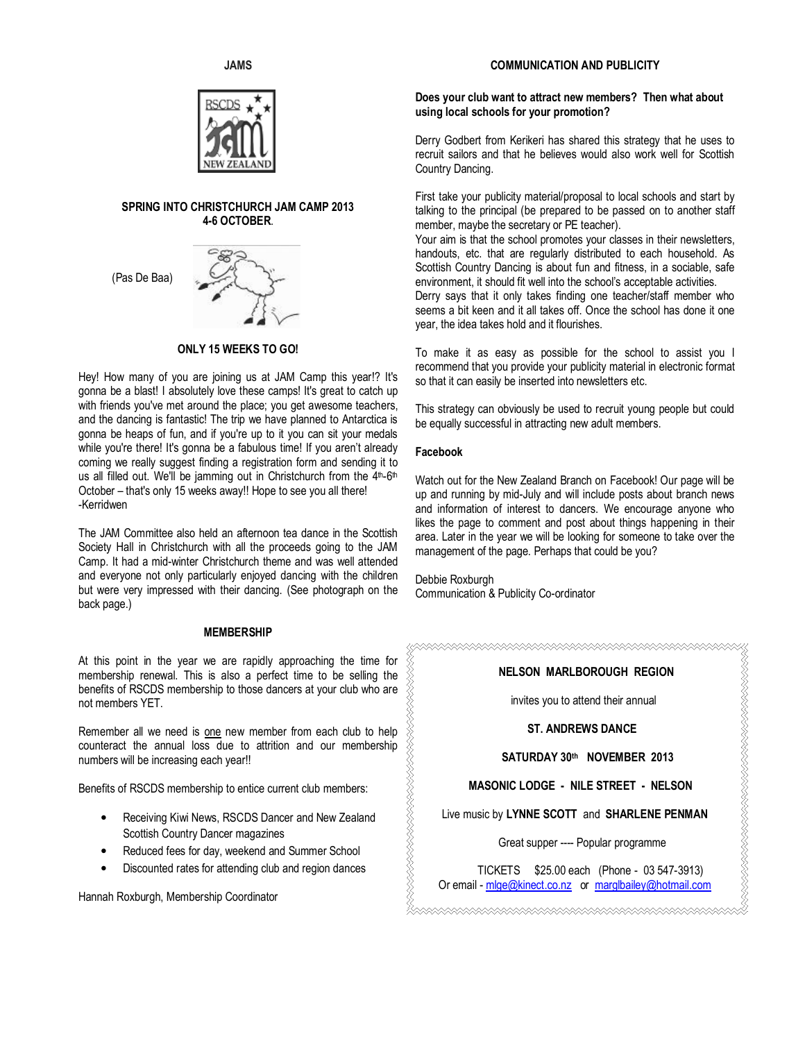**JAMS** 



### **SPRING INTO CHRISTCHURCH JAM CAMP 2013 4-6 OCTOBER**.

(Pas De Baa)



## **ONLY 15 WEEKS TO GO!**

Hey! How many of you are joining us at JAM Camp this year!? It's gonna be a blast! I absolutely love these camps! It's great to catch up with friends you've met around the place; you get awesome teachers, and the dancing is fantastic! The trip we have planned to Antarctica is gonna be heaps of fun, and if you're up to it you can sit your medals while you're there! It's gonna be a fabulous time! If you aren't already coming we really suggest finding a registration form and sending it to us all filled out. We'll be jamming out in Christchurch from the 4th-6th October – that's only 15 weeks away!! Hope to see you all there! -Kerridwen

The JAM Committee also held an afternoon tea dance in the Scottish Society Hall in Christchurch with all the proceeds going to the JAM Camp. It had a mid-winter Christchurch theme and was well attended and everyone not only particularly enjoyed dancing with the children but were very impressed with their dancing. (See photograph on the back page.)

#### **MEMBERSHIP**

At this point in the year we are rapidly approaching the time for membership renewal. This is also a perfect time to be selling the benefits of RSCDS membership to those dancers at your club who are not members YET.

Remember all we need is one new member from each club to help counteract the annual loss due to attrition and our membership numbers will be increasing each year!!

Benefits of RSCDS membership to entice current club members:

- Receiving Kiwi News, RSCDS Dancer and New Zealand Scottish Country Dancer magazines
- Reduced fees for day, weekend and Summer School
- Discounted rates for attending club and region dances

Hannah Roxburgh, Membership Coordinator

## **COMMUNICATION AND PUBLICITY**

#### **Does your club want to attract new members? Then what about using local schools for your promotion?**

Derry Godbert from Kerikeri has shared this strategy that he uses to recruit sailors and that he believes would also work well for Scottish Country Dancing.

First take your publicity material/proposal to local schools and start by talking to the principal (be prepared to be passed on to another staff member, maybe the secretary or PE teacher).

Your aim is that the school promotes your classes in their newsletters, handouts, etc. that are regularly distributed to each household. As Scottish Country Dancing is about fun and fitness, in a sociable, safe environment, it should fit well into the school's acceptable activities.

Derry says that it only takes finding one teacher/staff member who seems a bit keen and it all takes off. Once the school has done it one year, the idea takes hold and it flourishes.

To make it as easy as possible for the school to assist you I recommend that you provide your publicity material in electronic format so that it can easily be inserted into newsletters etc.

This strategy can obviously be used to recruit young people but could be equally successful in attracting new adult members.

## **Facebook**

こくてくくくくくくくくくくくくくくくくくくくくくくくく

Watch out for the New Zealand Branch on Facebook! Our page will be up and running by mid-July and will include posts about branch news and information of interest to dancers. We encourage anyone who likes the page to comment and post about things happening in their area. Later in the year we will be looking for someone to take over the management of the page. Perhaps that could be you?

Debbie Roxburgh Communication & Publicity Co-ordinator

## **NELSON MARLBOROUGH REGION**

invites you to attend their annual

## **ST. ANDREWS DANCE**

 **SATURDAY 30th NOVEMBER 2013** 

 **MASONIC LODGE - NILE STREET - NELSON** 

Live music by **LYNNE SCOTT** and **SHARLENE PENMAN**

Great supper ---- Popular programme

 TICKETS \$25.00 each (Phone - 03 547-3913) Or email - mlge@kinect.co.nz or marglbailey@hotmail.com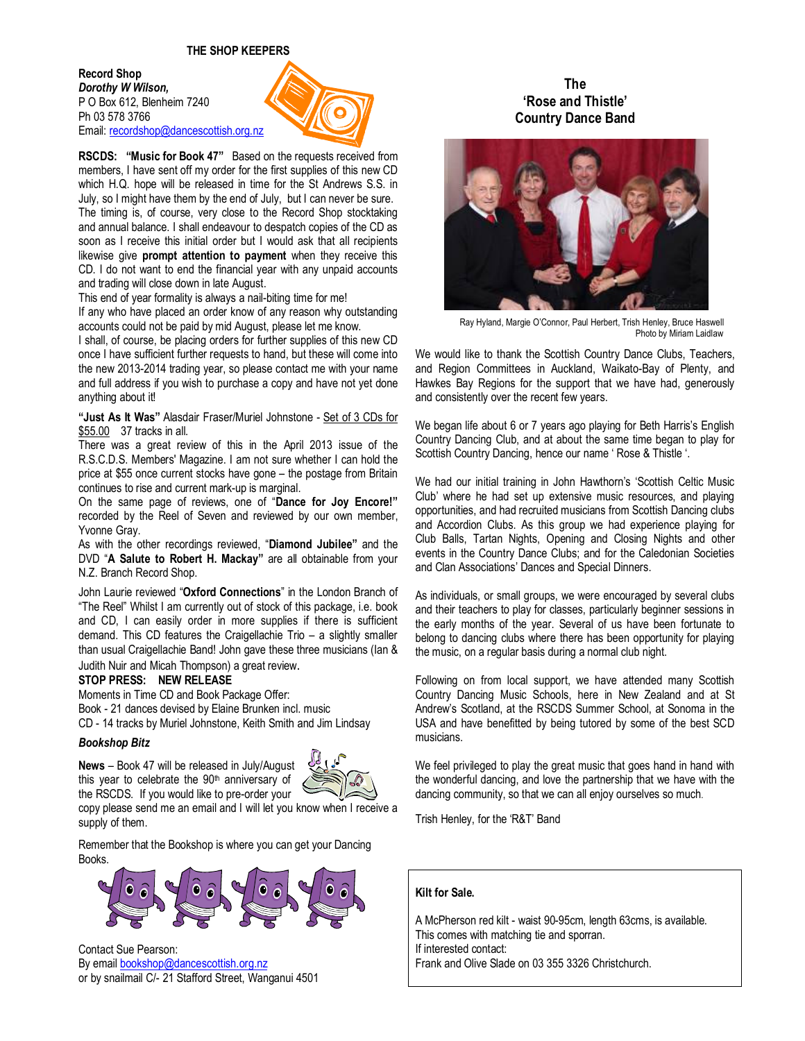#### **THE SHOP KEEPERS**

**Record Shop**  *Dorothy W Wilson,*  P O Box 612, Blenheim 7240 Ph 03 578 3766 Email: recordshop@dancescottish.org.nz



**RSCDS: "Music for Book 47"** Based on the requests received from members, I have sent off my order for the first supplies of this new CD which H.Q. hope will be released in time for the St Andrews S.S. in July, so I might have them by the end of July, but I can never be sure. The timing is, of course, very close to the Record Shop stocktaking and annual balance. I shall endeavour to despatch copies of the CD as soon as I receive this initial order but I would ask that all recipients likewise give **prompt attention to payment** when they receive this CD. I do not want to end the financial year with any unpaid accounts and trading will close down in late August.

This end of year formality is always a nail-biting time for me!

If any who have placed an order know of any reason why outstanding accounts could not be paid by mid August, please let me know.

I shall, of course, be placing orders for further supplies of this new CD once I have sufficient further requests to hand, but these will come into the new 2013-2014 trading year, so please contact me with your name and full address if you wish to purchase a copy and have not yet done anything about it!

**"Just As It Was"** Alasdair Fraser/Muriel Johnstone - Set of 3 CDs for \$55.00 37 tracks in all.

There was a great review of this in the April 2013 issue of the R.S.C.D.S. Members' Magazine. I am not sure whether I can hold the price at \$55 once current stocks have gone – the postage from Britain continues to rise and current mark-up is marginal.

On the same page of reviews, one of "**Dance for Joy Encore!"** recorded by the Reel of Seven and reviewed by our own member, Yvonne Gray.

As with the other recordings reviewed, "**Diamond Jubilee"** and the DVD "**A Salute to Robert H. Mackay"** are all obtainable from your N.Z. Branch Record Shop.

John Laurie reviewed "**Oxford Connections**" in the London Branch of "The Reel" Whilst I am currently out of stock of this package, i.e. book and CD, I can easily order in more supplies if there is sufficient demand. This CD features the Craigellachie Trio – a slightly smaller than usual Craigellachie Band! John gave these three musicians (Ian &

Judith Nuir and Micah Thompson) a great review.

## **STOP PRESS: NEW RELEASE**

Moments in Time CD and Book Package Offer:

Book - 21 dances devised by Elaine Brunken incl. music

CD - 14 tracks by Muriel Johnstone, Keith Smith and Jim Lindsay

#### *Bookshop Bitz*

**News** – Book 47 will be released in July/August this year to celebrate the 90<sup>th</sup> anniversary of the RSCDS. If you would like to pre-order your



copy please send me an email and I will let you know when I receive a supply of them.

Remember that the Bookshop is where you can get your Dancing Books.



Contact Sue Pearson: By email bookshop@dancescottish.org.nz or by snailmail C/- 21 Stafford Street, Wanganui 4501

# **The 'Rose and Thistle' Country Dance Band**



Ray Hyland, Margie O'Connor, Paul Herbert, Trish Henley, Bruce Haswell Photo by Miriam Laidlaw

We would like to thank the Scottish Country Dance Clubs, Teachers, and Region Committees in Auckland, Waikato-Bay of Plenty, and Hawkes Bay Regions for the support that we have had, generously and consistently over the recent few years.

We began life about 6 or 7 years ago playing for Beth Harris's English Country Dancing Club, and at about the same time began to play for Scottish Country Dancing, hence our name ' Rose & Thistle '.

We had our initial training in John Hawthorn's 'Scottish Celtic Music Club' where he had set up extensive music resources, and playing opportunities, and had recruited musicians from Scottish Dancing clubs and Accordion Clubs. As this group we had experience playing for Club Balls, Tartan Nights, Opening and Closing Nights and other events in the Country Dance Clubs; and for the Caledonian Societies and Clan Associations' Dances and Special Dinners.

As individuals, or small groups, we were encouraged by several clubs and their teachers to play for classes, particularly beginner sessions in the early months of the year. Several of us have been fortunate to belong to dancing clubs where there has been opportunity for playing the music, on a regular basis during a normal club night.

Following on from local support, we have attended many Scottish Country Dancing Music Schools, here in New Zealand and at St Andrew's Scotland, at the RSCDS Summer School, at Sonoma in the USA and have benefitted by being tutored by some of the best SCD musicians.

We feel privileged to play the great music that goes hand in hand with the wonderful dancing, and love the partnership that we have with the dancing community, so that we can all enjoy ourselves so much.

Trish Henley, for the 'R&T' Band

#### **Kilt for Sale.**

A McPherson red kilt - waist 90-95cm, length 63cms, is available. This comes with matching tie and sporran. If interested contact:

Frank and Olive Slade on 03 355 3326 Christchurch.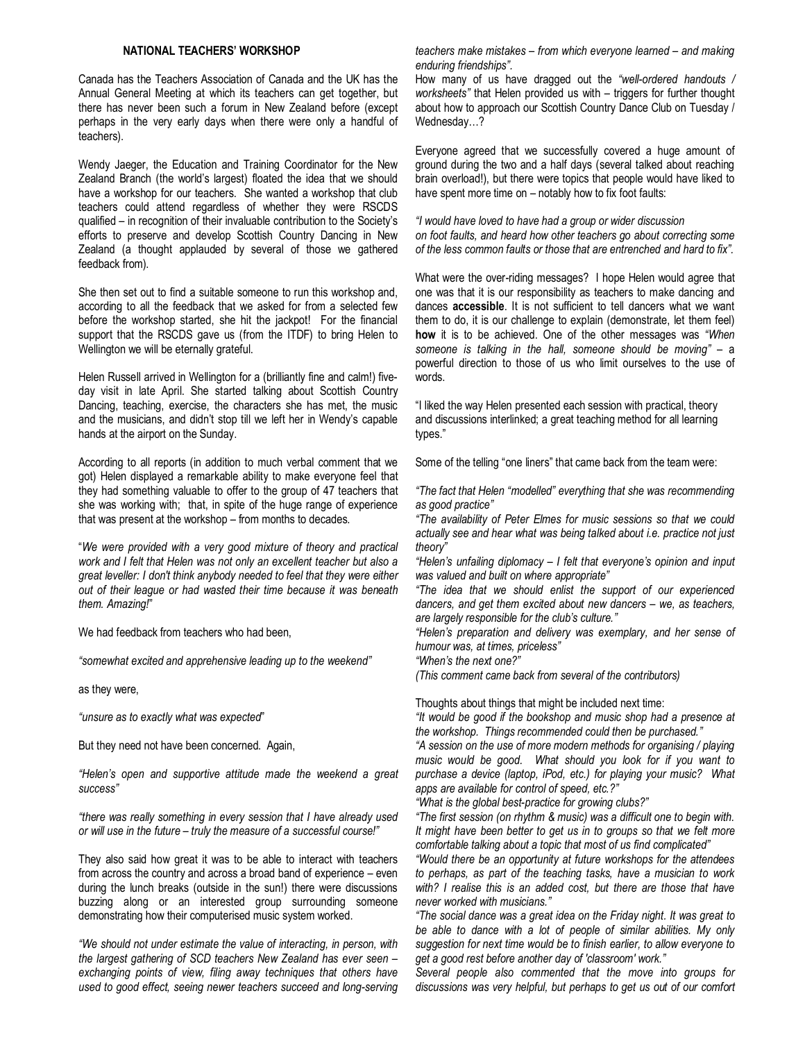#### **NATIONAL TEACHERS' WORKSHOP**

Canada has the Teachers Association of Canada and the UK has the Annual General Meeting at which its teachers can get together, but there has never been such a forum in New Zealand before (except perhaps in the very early days when there were only a handful of teachers).

Wendy Jaeger, the Education and Training Coordinator for the New Zealand Branch (the world's largest) floated the idea that we should have a workshop for our teachers. She wanted a workshop that club teachers could attend regardless of whether they were RSCDS qualified – in recognition of their invaluable contribution to the Society's efforts to preserve and develop Scottish Country Dancing in New Zealand (a thought applauded by several of those we gathered feedback from).

She then set out to find a suitable someone to run this workshop and, according to all the feedback that we asked for from a selected few before the workshop started, she hit the jackpot! For the financial support that the RSCDS gave us (from the ITDF) to bring Helen to Wellington we will be eternally grateful.

Helen Russell arrived in Wellington for a (brilliantly fine and calm!) fiveday visit in late April. She started talking about Scottish Country Dancing, teaching, exercise, the characters she has met, the music and the musicians, and didn't stop till we left her in Wendy's capable hands at the airport on the Sunday.

According to all reports (in addition to much verbal comment that we got) Helen displayed a remarkable ability to make everyone feel that they had something valuable to offer to the group of 47 teachers that she was working with; that, in spite of the huge range of experience that was present at the workshop – from months to decades.

"*We were provided with a very good mixture of theory and practical work and I felt that Helen was not only an excellent teacher but also a great leveller: I don't think anybody needed to feel that they were either out of their league or had wasted their time because it was beneath them. Amazing!*"

We had feedback from teachers who had been.

*"somewhat excited and apprehensive leading up to the weekend"*

as they were,

*"unsure as to exactly what was expected*"

But they need not have been concerned. Again,

*"Helen's open and supportive attitude made the weekend a great success"* 

*"there was really something in every session that I have already used or will use in the future – truly the measure of a successful course!"* 

They also said how great it was to be able to interact with teachers from across the country and across a broad band of experience – even during the lunch breaks (outside in the sun!) there were discussions buzzing along or an interested group surrounding someone demonstrating how their computerised music system worked.

*"We should not under estimate the value of interacting, in person, with the largest gathering of SCD teachers New Zealand has ever seen – exchanging points of view, filing away techniques that others have used to good effect, seeing newer teachers succeed and long-serving*  *teachers make mistakes – from which everyone learned – and making enduring friendships".* 

How many of us have dragged out the *"well-ordered handouts / worksheets"* that Helen provided us with – triggers for further thought about how to approach our Scottish Country Dance Club on Tuesday / Wednesday…?

Everyone agreed that we successfully covered a huge amount of ground during the two and a half days (several talked about reaching brain overload!), but there were topics that people would have liked to have spent more time on - notably how to fix foot faults:

#### *"I would have loved to have had a group or wider discussion on foot faults, and heard how other teachers go about correcting some of the less common faults or those that are entrenched and hard to fix".*

What were the over-riding messages? I hope Helen would agree that one was that it is our responsibility as teachers to make dancing and dances **accessible**. It is not sufficient to tell dancers what we want them to do, it is our challenge to explain (demonstrate, let them feel) **how** it is to be achieved. One of the other messages was *"When someone is talking in the hall, someone should be moving"* – a powerful direction to those of us who limit ourselves to the use of words.

"I liked the way Helen presented each session with practical, theory and discussions interlinked; a great teaching method for all learning types."

Some of the telling "one liners" that came back from the team were:

*"The fact that Helen "modelled" everything that she was recommending as good practice"* 

*"The availability of Peter Elmes for music sessions so that we could actually see and hear what was being talked about i.e. practice not just theory"* 

*"Helen's unfailing diplomacy – I felt that everyone's opinion and input was valued and built on where appropriate"* 

*"The idea that we should enlist the support of our experienced dancers, and get them excited about new dancers – we, as teachers, are largely responsible for the club's culture."* 

*"Helen's preparation and delivery was exemplary, and her sense of humour was, at times, priceless"* 

*"When's the next one?"* 

*(This comment came back from several of the contributors)*

Thoughts about things that might be included next time:

*"It would be good if the bookshop and music shop had a presence at the workshop. Things recommended could then be purchased."* 

*"A session on the use of more modern methods for organising / playing music would be good. What should you look for if you want to purchase a device (laptop, iPod, etc.) for playing your music? What apps are available for control of speed, etc.?"* 

*"What is the global best-practice for growing clubs?"* 

*"The first session (on rhythm & music) was a difficult one to begin with. It might have been better to get us in to groups so that we felt more comfortable talking about a topic that most of us find complicated"* 

*"Would there be an opportunity at future workshops for the attendees to perhaps, as part of the teaching tasks, have a musician to work with? I realise this is an added cost, but there are those that have never worked with musicians."* 

*"The social dance was a great idea on the Friday night. It was great to*  be able to dance with a lot of people of similar abilities. My only *suggestion for next time would be to finish earlier, to allow everyone to get a good rest before another day of 'classroom' work."* 

*Several people also commented that the move into groups for discussions was very helpful, but perhaps to get us out of our comfort*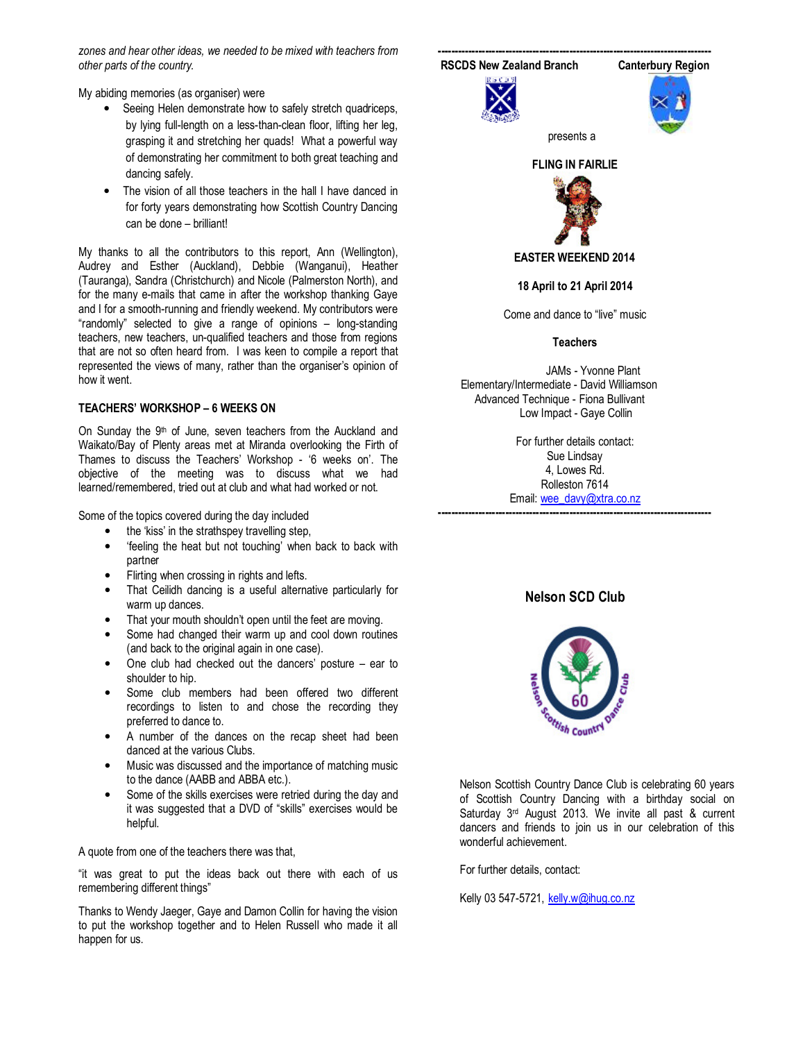*zones and hear other ideas, we needed to be mixed with teachers from other parts of the country.* 

My abiding memories (as organiser) were

- Seeing Helen demonstrate how to safely stretch quadriceps, by lying full-length on a less-than-clean floor, lifting her leg, grasping it and stretching her quads! What a powerful way of demonstrating her commitment to both great teaching and dancing safely.
- The vision of all those teachers in the hall I have danced in for forty years demonstrating how Scottish Country Dancing can be done – brilliant!

My thanks to all the contributors to this report, Ann (Wellington), Audrey and Esther (Auckland), Debbie (Wanganui), Heather (Tauranga), Sandra (Christchurch) and Nicole (Palmerston North), and for the many e-mails that came in after the workshop thanking Gaye and I for a smooth-running and friendly weekend. My contributors were "randomly" selected to give a range of opinions – long-standing teachers, new teachers, un-qualified teachers and those from regions that are not so often heard from. I was keen to compile a report that represented the views of many, rather than the organiser's opinion of how it went.

## **TEACHERS' WORKSHOP – 6 WEEKS ON**

On Sunday the 9<sup>th</sup> of June, seven teachers from the Auckland and Waikato/Bay of Plenty areas met at Miranda overlooking the Firth of Thames to discuss the Teachers' Workshop - '6 weeks on'. The objective of the meeting was to discuss what we had learned/remembered, tried out at club and what had worked or not.

Some of the topics covered during the day included

- the 'kiss' in the strathspey travelling step.
- 'feeling the heat but not touching' when back to back with partner
- Flirting when crossing in rights and lefts.
- That Ceilidh dancing is a useful alternative particularly for warm up dances.
- That your mouth shouldn't open until the feet are moving.
- Some had changed their warm up and cool down routines (and back to the original again in one case).
- One club had checked out the dancers' posture ear to shoulder to hip.
- Some club members had been offered two different recordings to listen to and chose the recording they preferred to dance to.
- A number of the dances on the recap sheet had been danced at the various Clubs.
- Music was discussed and the importance of matching music to the dance (AABB and ABBA etc.).
- Some of the skills exercises were retried during the day and it was suggested that a DVD of "skills" exercises would be helpful.

A quote from one of the teachers there was that,

"it was great to put the ideas back out there with each of us remembering different things"

Thanks to Wendy Jaeger, Gaye and Damon Collin for having the vision to put the workshop together and to Helen Russell who made it all happen for us.



Come and dance to "live" music

#### **Teachers**

 JAMs - Yvonne Plant Elementary/Intermediate - David Williamson Advanced Technique - Fiona Bullivant Low Impact - Gaye Collin

> For further details contact: Sue Lindsay 4, Lowes Rd. Rolleston 7614 Email: wee\_davy@xtra.co.nz

**---------------------------------------------------------------------------------** 

# **Nelson SCD Club**



Nelson Scottish Country Dance Club is celebrating 60 years of Scottish Country Dancing with a birthday social on Saturday 3<sup>rd</sup> August 2013. We invite all past & current dancers and friends to join us in our celebration of this wonderful achievement.

For further details, contact:

Kelly 03 547-5721, kelly.w@ihug.co.nz